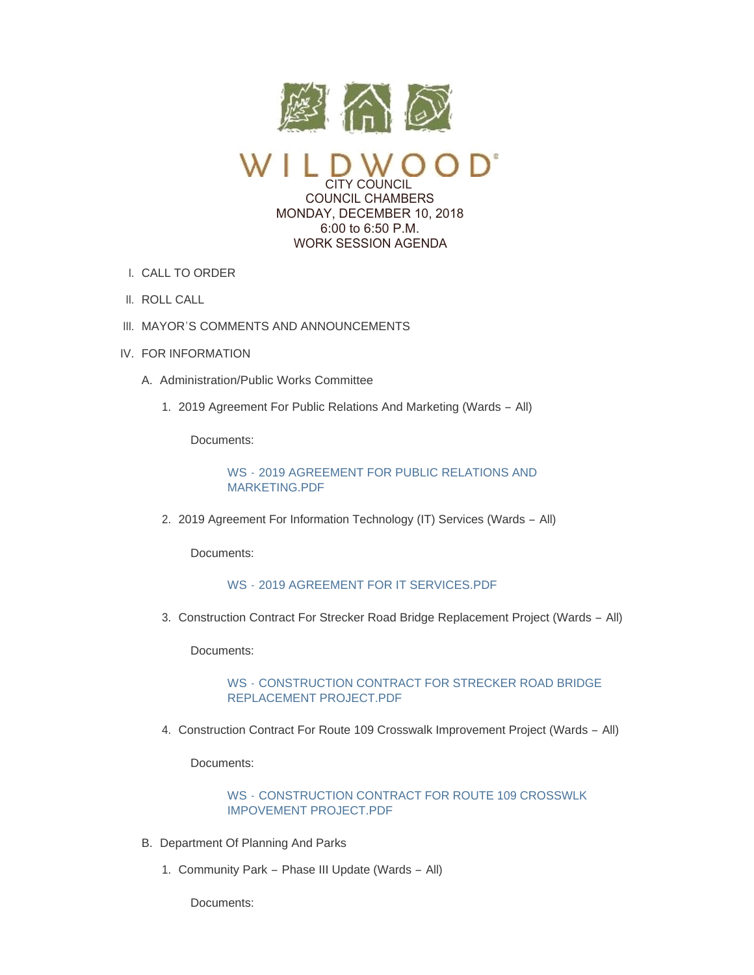

CITY COUNCIL COUNCIL CHAMBERS MONDAY, DECEMBER 10, 2018 6:00 to 6:50 P.M. WORK SESSION AGENDA

- CALL TO ORDER I.
- II. ROLL CALL
- III. MAYOR'S COMMENTS AND ANNOUNCEMENTS
- IV. FOR INFORMATION
	- A. Administration/Public Works Committee
		- 2019 Agreement For Public Relations And Marketing (Wards All) 1.

Documents:

WS - [2019 AGREEMENT FOR PUBLIC RELATIONS AND](https://www.cityofwildwood.com/AgendaCenter/ViewFile/Item/18236?fileID=25144)  MARKETING.PDF

2. 2019 Agreement For Information Technology (IT) Services (Wards - All)

Documents:

# WS - [2019 AGREEMENT FOR IT SERVICES.PDF](https://www.cityofwildwood.com/AgendaCenter/ViewFile/Item/18237?fileID=25145)

3. Construction Contract For Strecker Road Bridge Replacement Project (Wards - All)

Documents:

## WS - [CONSTRUCTION CONTRACT FOR STRECKER ROAD BRIDGE](https://www.cityofwildwood.com/AgendaCenter/ViewFile/Item/18238?fileID=25146)  REPLACEMENT PROJECT.PDF

4. Construction Contract For Route 109 Crosswalk Improvement Project (Wards - All)

Documents:

## WS - [CONSTRUCTION CONTRACT FOR ROUTE 109 CROSSWLK](https://www.cityofwildwood.com/AgendaCenter/ViewFile/Item/18239?fileID=25147)  IMPOVEMENT PROJECT.PDF

- B. Department Of Planning And Parks
	- 1. Community Park Phase III Update (Wards All)

Documents: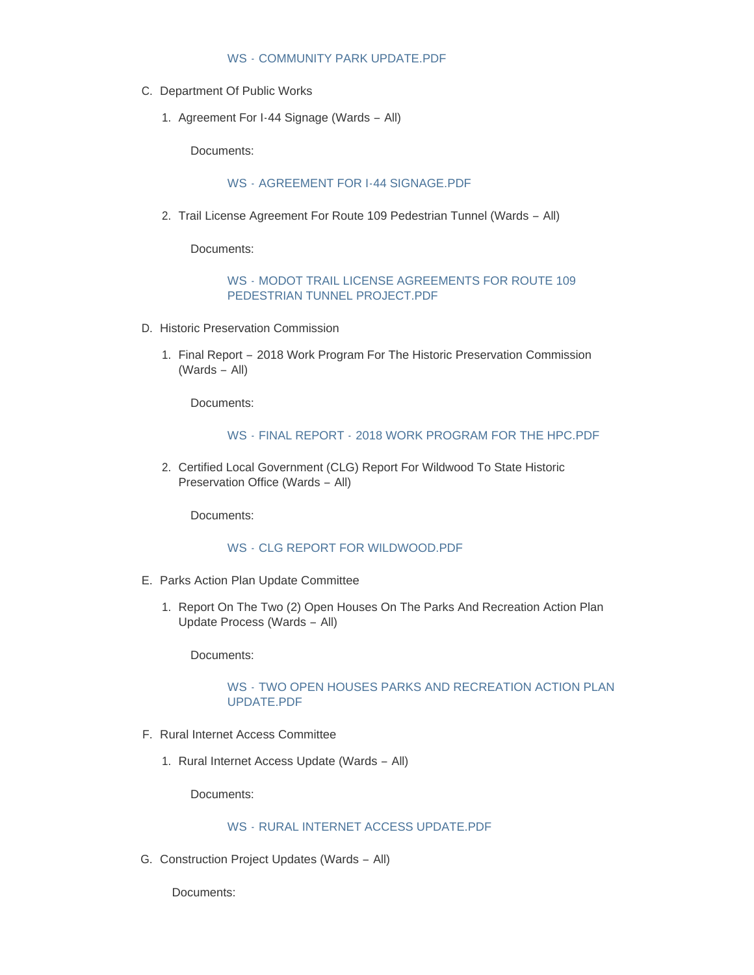- C. Department Of Public Works
	- 1. Agreement For I-44 Signage (Wards All)

Documents:

## WS - [AGREEMENT FOR I-44 SIGNAGE.PDF](https://www.cityofwildwood.com/AgendaCenter/ViewFile/Item/18243?fileID=25158)

2. Trail License Agreement For Route 109 Pedestrian Tunnel (Wards - All)

Documents:

#### WS - [MODOT TRAIL LICENSE AGREEMENTS FOR ROUTE 109](https://www.cityofwildwood.com/AgendaCenter/ViewFile/Item/18244?fileID=25159)  PEDESTRIAN TUNNEL PROJECT.PDF

- D. Historic Preservation Commission
	- 1. Final Report 2018 Work Program For The Historic Preservation Commission (Wards – All)

Documents:

#### WS - FINAL REPORT - [2018 WORK PROGRAM FOR THE HPC.PDF](https://www.cityofwildwood.com/AgendaCenter/ViewFile/Item/18246?fileID=25149)

2. Certified Local Government (CLG) Report For Wildwood To State Historic Preservation Office (Wards – All)

Documents:

### WS - [CLG REPORT FOR WILDWOOD.PDF](https://www.cityofwildwood.com/AgendaCenter/ViewFile/Item/18247?fileID=25150)

- E. Parks Action Plan Update Committee
	- 1. Report On The Two (2) Open Houses On The Parks And Recreation Action Plan Update Process (Wards – All)

Documents:

#### WS - [TWO OPEN HOUSES PARKS AND RECREATION ACTION PLAN](https://www.cityofwildwood.com/AgendaCenter/ViewFile/Item/18249?fileID=25151)  UPDATE.PDF

- F. Rural Internet Access Committee
	- 1. Rural Internet Access Update (Wards All)

Documents:

# WS - [RURAL INTERNET ACCESS UPDATE.PDF](https://www.cityofwildwood.com/AgendaCenter/ViewFile/Item/18251?fileID=25152)

G. Construction Project Updates (Wards - All)

Documents: